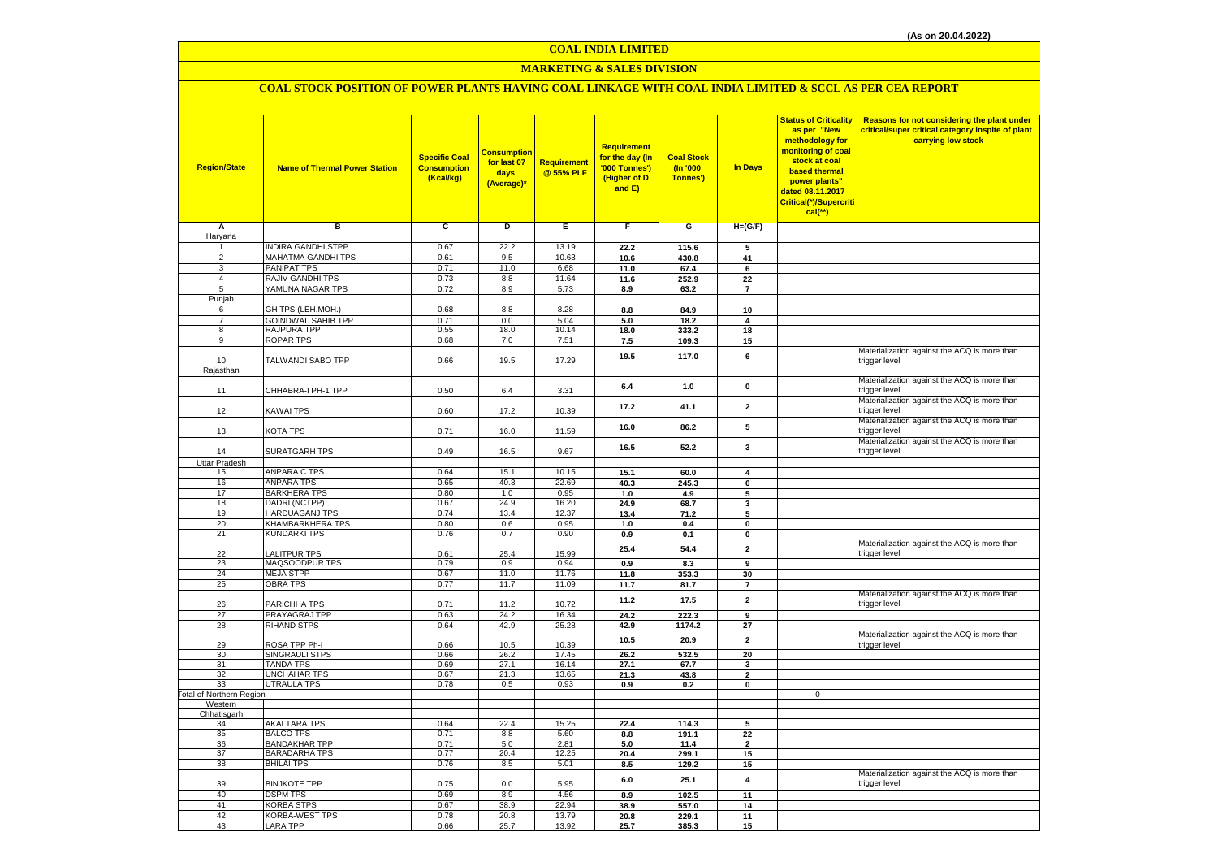# **MARKETING & SALES DIVISION**

## **COAL STOCK POSITION OF POWER PLANTS HAVING COAL LINKAGE WITH COAL INDIA LIMITED & SCCL AS PER CEA REPORT**

| <b>Region/State</b>              | <b>Name of Thermal Power Station</b> | <b>Specific Coal</b><br><b>Consumption</b><br>(Kcal/kg) | <b>Consumption</b><br>for last 07<br>days<br>(Average)* | Requirement<br>@ 55% PLF | Requirement<br>for the day (In<br>'000 Tonnes')<br>(Higher of D<br>and E) | <b>Coal Stock</b><br>(In '000<br>Tonnes') | In Days                 | <b>Status of Criticality</b><br>as per "New<br>methodology for<br>monitoring of coal<br>stock at coal<br>based thermal<br>power plants"<br>dated 08.11.2017<br>Critical(*)/Supercriti<br>$cal$ (**) | Reasons for not considering the plant under<br>critical/super critical category inspite of plant<br>carrying low stock |
|----------------------------------|--------------------------------------|---------------------------------------------------------|---------------------------------------------------------|--------------------------|---------------------------------------------------------------------------|-------------------------------------------|-------------------------|-----------------------------------------------------------------------------------------------------------------------------------------------------------------------------------------------------|------------------------------------------------------------------------------------------------------------------------|
| Α                                | в                                    | c                                                       | D                                                       | E.                       | F                                                                         | G                                         | $H=(G/F)$               |                                                                                                                                                                                                     |                                                                                                                        |
| Haryana                          |                                      |                                                         |                                                         |                          |                                                                           |                                           |                         |                                                                                                                                                                                                     |                                                                                                                        |
| 1                                | <b>INDIRA GANDHI STPP</b>            | 0.67                                                    | 22.2                                                    | 13.19                    | 22.2                                                                      | 115.6                                     | 5                       |                                                                                                                                                                                                     |                                                                                                                        |
| $\overline{2}$                   | MAHATMA GANDHI TPS                   | 0.61                                                    | 9.5                                                     | 10.63                    | 10.6                                                                      | 430.8                                     | 41                      |                                                                                                                                                                                                     |                                                                                                                        |
| $\overline{3}$<br>$\overline{4}$ | PANIPAT TPS<br>RAJIV GANDHI TPS      | 0.71<br>0.73                                            | 11.0<br>8.8                                             | 6.68<br>11.64            | 11.0                                                                      | 67.4                                      | $\bf 6$                 |                                                                                                                                                                                                     |                                                                                                                        |
| 5                                | YAMUNA NAGAR TPS                     | 0.72                                                    | 8.9                                                     | 5.73                     | 11.6                                                                      | 252.9                                     | 22<br>$\overline{7}$    |                                                                                                                                                                                                     |                                                                                                                        |
| Punjab                           |                                      |                                                         |                                                         |                          | 8.9                                                                       | 63.2                                      |                         |                                                                                                                                                                                                     |                                                                                                                        |
| 6                                | GH TPS (LEH.MOH.)                    | 0.68                                                    | 8.8                                                     | 8.28                     | 8.8                                                                       | 84.9                                      | 10                      |                                                                                                                                                                                                     |                                                                                                                        |
| $\overline{7}$                   | GOINDWAL SAHIB TPP                   | 0.71                                                    | 0.0                                                     | 5.04                     | 5.0                                                                       | 18.2                                      | 4                       |                                                                                                                                                                                                     |                                                                                                                        |
| 8                                | RAJPURA TPP                          | 0.55                                                    | 18.0                                                    | 10.14                    | 18.0                                                                      | 333.2                                     | 18                      |                                                                                                                                                                                                     |                                                                                                                        |
| $\overline{9}$                   | <b>ROPAR TPS</b>                     | 0.68                                                    | 7.0                                                     | 7.51                     | 7.5                                                                       | 109.3                                     | 15                      |                                                                                                                                                                                                     |                                                                                                                        |
| 10                               | TALWANDI SABO TPP                    | 0.66                                                    | 19.5                                                    | 17.29                    | 19.5                                                                      | 117.0                                     | 6                       |                                                                                                                                                                                                     | Materialization against the ACQ is more than<br>trigger level                                                          |
| Rajasthan                        |                                      |                                                         |                                                         |                          |                                                                           |                                           |                         |                                                                                                                                                                                                     |                                                                                                                        |
| 11                               | CHHABRA-I PH-1 TPP                   | 0.50                                                    | 6.4                                                     | 3.31                     | 6.4                                                                       | 1.0                                       | $\pmb{0}$               |                                                                                                                                                                                                     | Materialization against the ACQ is more than<br>trigger level                                                          |
| 12                               | KAWAI TPS                            | 0.60                                                    | 17.2                                                    | 10.39                    | 17.2                                                                      | 41.1                                      | $\overline{2}$          |                                                                                                                                                                                                     | Materialization against the ACQ is more than<br>trigger level                                                          |
| 13                               | KOTA TPS                             | 0.71                                                    | 16.0                                                    | 11.59                    | 16.0                                                                      | 86.2                                      | 5                       |                                                                                                                                                                                                     | Materialization against the ACQ is more than<br>trigger level                                                          |
| 14                               | <b>SURATGARH TPS</b>                 | 0.49                                                    | 16.5                                                    | 9.67                     | 16.5                                                                      | 52.2                                      | $\mathbf{3}$            |                                                                                                                                                                                                     | Materialization against the ACQ is more than<br>trigger level                                                          |
| <b>Uttar Pradesh</b>             |                                      |                                                         |                                                         |                          |                                                                           |                                           |                         |                                                                                                                                                                                                     |                                                                                                                        |
| 15                               | <b>ANPARA C TPS</b>                  | 0.64                                                    | 15.1                                                    | 10.15                    | 15.1                                                                      | 60.0                                      | 4                       |                                                                                                                                                                                                     |                                                                                                                        |
| 16                               | <b>ANPARA TPS</b>                    | 0.65                                                    | 40.3                                                    | 22.69                    | 40.3                                                                      | 245.3                                     | 6                       |                                                                                                                                                                                                     |                                                                                                                        |
| 17                               | <b>BARKHERA TPS</b>                  | 0.80                                                    | 1.0                                                     | 0.95                     | 1.0                                                                       | 4.9                                       | 5                       |                                                                                                                                                                                                     |                                                                                                                        |
| 18                               | DADRI (NCTPP)                        | 0.67                                                    | 24.9                                                    | 16.20                    | 24.9                                                                      | 68.7                                      | 3                       |                                                                                                                                                                                                     |                                                                                                                        |
| 19                               | HARDUAGANJ TPS                       | 0.74                                                    | 13.4                                                    | 12.37                    | 13.4                                                                      | 71.2                                      | 5                       |                                                                                                                                                                                                     |                                                                                                                        |
| 20                               | KHAMBARKHERA TPS                     | 0.80                                                    | 0.6                                                     | 0.95                     | 1.0                                                                       | 0.4                                       | 0                       |                                                                                                                                                                                                     |                                                                                                                        |
| 21                               | <b>KUNDARKI TPS</b>                  | 0.76                                                    | 0.7                                                     | 0.90                     | 0.9                                                                       | 0.1                                       | 0                       |                                                                                                                                                                                                     | Materialization against the ACQ is more than                                                                           |
| 22                               | <b>ALITPUR TPS</b>                   | 0.61                                                    | 25.4                                                    | 15.99                    | 25.4                                                                      | 54.4                                      | $\overline{2}$          |                                                                                                                                                                                                     | trigger level                                                                                                          |
| 23<br>24                         | MAQSOODPUR TPS<br><b>MEJA STPP</b>   | 0.79<br>0.67                                            | 0.9<br>11.0                                             | 0.94<br>11.76            | $0.9\,$                                                                   | 8.3                                       | 9                       |                                                                                                                                                                                                     |                                                                                                                        |
| 25                               | <b>OBRA TPS</b>                      | 0.77                                                    | 11.7                                                    | 11.09                    | 11.8<br>11.7                                                              | 353.3<br>81.7                             | 30<br>$\overline{7}$    |                                                                                                                                                                                                     |                                                                                                                        |
|                                  |                                      |                                                         |                                                         |                          | 11.2                                                                      | 17.5                                      | $\overline{2}$          |                                                                                                                                                                                                     | Materialization against the ACQ is more than                                                                           |
| 26<br>27                         | PARICHHA TPS<br>PRAYAGRAJ TPP        | 0.71<br>0.63                                            | 11.2<br>24.2                                            | 10.72                    | 24.2                                                                      | 222.3                                     | $\overline{9}$          |                                                                                                                                                                                                     | trigger level                                                                                                          |
| 28                               | <b>RIHAND STPS</b>                   | 0.64                                                    | 42.9                                                    | 16.34<br>25.28           | 42.9                                                                      | 1174.2                                    | 27                      |                                                                                                                                                                                                     |                                                                                                                        |
| 29                               | ROSA TPP Ph-I                        | 0.66                                                    | 10.5                                                    | 10.39                    | 10.5                                                                      | 20.9                                      | $\overline{2}$          |                                                                                                                                                                                                     | Materialization against the ACQ is more than<br>trigger level                                                          |
| 30                               | SINGRAULI STPS                       | 0.66                                                    | 26.2                                                    | 17.45                    | 26.2                                                                      | 532.5                                     | 20                      |                                                                                                                                                                                                     |                                                                                                                        |
| 31                               | <b>TANDA TPS</b>                     | 0.69                                                    | 27.1                                                    | 16.14                    | 27.1                                                                      | 67.7                                      | 3                       |                                                                                                                                                                                                     |                                                                                                                        |
| 32                               | UNCHAHAR TPS                         | 0.67                                                    | 21.3                                                    | 13.65                    | 21.3                                                                      | 43.8                                      | $\mathbf{2}$            |                                                                                                                                                                                                     |                                                                                                                        |
| 33                               | <b>UTRAULA TPS</b>                   | 0.78                                                    | 0.5                                                     | 0.93                     | 0.9                                                                       | 0.2                                       | 0                       |                                                                                                                                                                                                     |                                                                                                                        |
| <b>Total of Northern Region</b>  |                                      |                                                         |                                                         |                          |                                                                           |                                           |                         | $\mathsf 0$                                                                                                                                                                                         |                                                                                                                        |
| Western                          |                                      |                                                         |                                                         |                          |                                                                           |                                           |                         |                                                                                                                                                                                                     |                                                                                                                        |
| Chhatisgarh<br>34                | <b>AKALTARA TPS</b>                  | 0.64                                                    | 22.4                                                    | 15.25                    | 22.4                                                                      | 114.3                                     | -5                      |                                                                                                                                                                                                     |                                                                                                                        |
| 35                               | <b>BALCO TPS</b>                     | 0.71                                                    | 8.8                                                     | 5.60                     | 8.8                                                                       | 191.1                                     | 22                      |                                                                                                                                                                                                     |                                                                                                                        |
| 36                               | <b>BANDAKHAR TPP</b>                 | 0.71                                                    | 5.0                                                     | 2.81                     | 5.0                                                                       | 11.4                                      | $\overline{2}$          |                                                                                                                                                                                                     |                                                                                                                        |
| 37                               | <b>BARADARHA TPS</b>                 | 0.77                                                    | 20.4                                                    | 12.25                    | 20.4                                                                      | 299.1                                     | 15                      |                                                                                                                                                                                                     |                                                                                                                        |
| 38                               | <b>BHILAI TPS</b>                    | 0.76                                                    | 8.5                                                     | 5.01                     | 8.5                                                                       | 129.2                                     | 15                      |                                                                                                                                                                                                     |                                                                                                                        |
| 39                               | <b>BINJKOTE TPP</b>                  | 0.75                                                    | 0.0                                                     | 5.95                     | 6.0                                                                       | 25.1                                      | $\overline{\mathbf{4}}$ |                                                                                                                                                                                                     | Materialization against the ACQ is more than<br>trigger level                                                          |
| 40                               | <b>DSPM TPS</b>                      | 0.69                                                    | 8.9                                                     | 4.56                     | 8.9                                                                       | 102.5                                     | 11                      |                                                                                                                                                                                                     |                                                                                                                        |
| 41                               | <b>KORBA STPS</b>                    | 0.67                                                    | 38.9                                                    | 22.94                    | 38.9                                                                      | 557.0                                     | 14                      |                                                                                                                                                                                                     |                                                                                                                        |
| 42                               | KORBA-WEST TPS                       | 0.78                                                    | 20.8                                                    | 13.79                    | 20.8                                                                      | 229.1                                     | 11                      |                                                                                                                                                                                                     |                                                                                                                        |
| 43                               | <b>LARA TPP</b>                      | 0.66                                                    | 25.7                                                    | 13.92                    | 25.7                                                                      | 385.3                                     | 15                      |                                                                                                                                                                                                     |                                                                                                                        |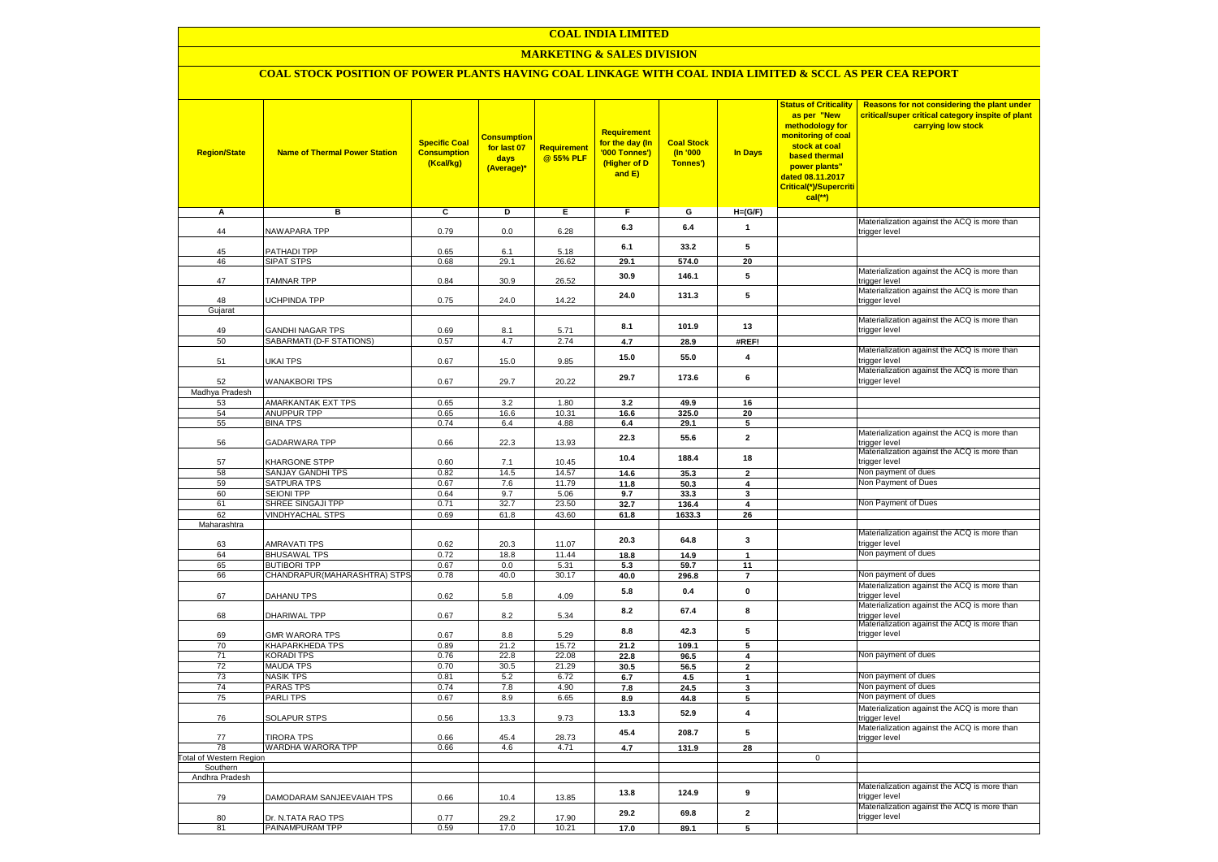### **MARKETING & SALES DIVISION**

### **COAL STOCK POSITION OF POWER PLANTS HAVING COAL LINKAGE WITH COAL INDIA LIMITED & SCCL AS PER CEA REPORT**

| <b>Region/State</b>                | <b>Name of Thermal Power Station</b>                | <b>Specific Coal</b><br><b>Consumption</b><br>(Kcal/kg) | <b>Consumption</b><br>for last 07<br>days<br>(Average)* | <b>Requirement</b><br>@ 55% PLF | Requirement<br>for the day (In<br>'000 Tonnes')<br>(Higher of D<br>and E) | <b>Coal Stock</b><br>$($ ln '000<br>Tonnes') | <b>In Days</b>          | <b>Status of Criticality</b><br>as per "New<br>methodology for<br>monitoring of coal<br>stock at coal<br>based thermal<br>power plants"<br>dated 08.11.2017<br>Critical(*)/Supercriti<br>$cal$ (**) | Reasons for not considering the plant under<br>critical/super critical category inspite of plant<br>carrying low stock |
|------------------------------------|-----------------------------------------------------|---------------------------------------------------------|---------------------------------------------------------|---------------------------------|---------------------------------------------------------------------------|----------------------------------------------|-------------------------|-----------------------------------------------------------------------------------------------------------------------------------------------------------------------------------------------------|------------------------------------------------------------------------------------------------------------------------|
| Α                                  | в                                                   | С                                                       | D                                                       | Е                               | F.                                                                        | G                                            | $H=(G/F)$               |                                                                                                                                                                                                     |                                                                                                                        |
| 44                                 | <b>VAWAPARA TPP</b>                                 | 0.79                                                    | 0.0                                                     | 6.28                            | 6.3                                                                       | 6.4                                          | $\mathbf{1}$            |                                                                                                                                                                                                     | Materialization against the ACQ is more than<br>trigger level                                                          |
| 45                                 | <b>PATHADI TPP</b>                                  | 0.65                                                    |                                                         | 5.18                            | 6.1                                                                       | 33.2                                         | 5                       |                                                                                                                                                                                                     |                                                                                                                        |
| 46                                 | SIPAT STPS                                          | 0.68                                                    | 6.1<br>29.1                                             | 26.62                           | 29.1                                                                      | 574.0                                        | 20                      |                                                                                                                                                                                                     |                                                                                                                        |
| 47                                 | <b>TAMNAR TPP</b>                                   | 0.84                                                    | 30.9                                                    | 26.52                           | 30.9                                                                      | 146.1                                        | 5                       |                                                                                                                                                                                                     | Materialization against the ACQ is more than<br>trigger level                                                          |
| 48                                 | <b>JCHPINDA TPP</b>                                 | 0.75                                                    | 24.0                                                    | 14.22                           | 24.0                                                                      | 131.3                                        | 5                       |                                                                                                                                                                                                     | Materialization against the ACQ is more than                                                                           |
| Gujarat                            |                                                     |                                                         |                                                         |                                 |                                                                           |                                              |                         |                                                                                                                                                                                                     | trigger level                                                                                                          |
|                                    |                                                     |                                                         |                                                         |                                 | 8.1                                                                       | 101.9                                        | 13                      |                                                                                                                                                                                                     | Materialization against the ACQ is more than                                                                           |
| 49<br>50                           | <b>GANDHI NAGAR TPS</b><br>SABARMATI (D-F STATIONS) | 0.69<br>0.57                                            | 8.1<br>4.7                                              | 5.71<br>2.74                    | 4.7                                                                       | 28.9                                         | #REF!                   |                                                                                                                                                                                                     | trigger level                                                                                                          |
| 51                                 | <b>JKAI TPS</b>                                     | 0.67                                                    | 15.0                                                    | 9.85                            | 15.0                                                                      | 55.0                                         | 4                       |                                                                                                                                                                                                     | Materialization against the ACQ is more than<br>trigger level                                                          |
| 52                                 | <b>WANAKBORI TPS</b>                                | 0.67                                                    | 29.7                                                    | 20.22                           | 29.7                                                                      | 173.6                                        | 6                       |                                                                                                                                                                                                     | Materialization against the ACQ is more than<br>trigger level                                                          |
| Madhya Pradesh<br>53               | AMARKANTAK EXT TPS                                  | 0.65                                                    | 3.2                                                     | 1.80                            | 3.2                                                                       | 49.9                                         | 16                      |                                                                                                                                                                                                     |                                                                                                                        |
| 54                                 | <b>ANUPPUR TPP</b>                                  | 0.65                                                    | 16.6                                                    | 10.31                           | 16.6                                                                      | 325.0                                        | 20                      |                                                                                                                                                                                                     |                                                                                                                        |
| 55                                 | <b>BINA TPS</b>                                     | 0.74                                                    | 6.4                                                     | 4.88                            | 6.4                                                                       | 29.1                                         | 5                       |                                                                                                                                                                                                     |                                                                                                                        |
| 56                                 | GADARWARA TPP                                       | 0.66                                                    | 22.3                                                    | 13.93                           | 22.3                                                                      | 55.6                                         | $\mathbf 2$             |                                                                                                                                                                                                     | Materialization against the ACQ is more than<br>trigger level                                                          |
| 57                                 | KHARGONE STPP                                       | 0.60                                                    | 7.1                                                     | 10.45                           | 10.4                                                                      | 188.4                                        | 18                      |                                                                                                                                                                                                     | Materialization against the ACQ is more than<br>trigger level                                                          |
| 58                                 | SANJAY GANDHI TPS                                   | 0.82                                                    | 14.5                                                    | 14.57                           | 14.6                                                                      | 35.3                                         | $\overline{2}$          |                                                                                                                                                                                                     | Non payment of dues                                                                                                    |
| 59                                 | SATPURA TPS                                         | 0.67                                                    | 7.6                                                     | 11.79                           | 11.8                                                                      | 50.3                                         | 4                       |                                                                                                                                                                                                     | Non Payment of Dues                                                                                                    |
| 60<br>61                           | <b>SEIONI TPP</b><br>SHREE SINGAJI TPP              | 0.64<br>0.71                                            | 9.7<br>32.7                                             | 5.06<br>23.50                   | 9.7                                                                       | 33.3                                         | 3                       |                                                                                                                                                                                                     | Non Payment of Dues                                                                                                    |
| 62                                 | <b>VINDHYACHAL STPS</b>                             | 0.69                                                    | 61.8                                                    | 43.60                           | 32.7<br>61.8                                                              | 136.4<br>1633.3                              | 4<br>26                 |                                                                                                                                                                                                     |                                                                                                                        |
| Maharashtra                        |                                                     |                                                         |                                                         |                                 |                                                                           |                                              |                         |                                                                                                                                                                                                     |                                                                                                                        |
|                                    |                                                     |                                                         |                                                         |                                 | 20.3                                                                      | 64.8                                         | 3                       |                                                                                                                                                                                                     | Materialization against the ACQ is more than<br>trigger level                                                          |
| 63<br>64                           | <b>AMRAVATI TPS</b><br><b>BHUSAWAL TPS</b>          | 0.62<br>0.72                                            | 20.3<br>18.8                                            | 11.07<br>11.44                  | 18.8                                                                      | 14.9                                         | $\mathbf{1}$            |                                                                                                                                                                                                     | Non payment of dues                                                                                                    |
| 65                                 | <b>BUTIBORI TPP</b>                                 | 0.67                                                    | 0.0                                                     | 5.31                            | 5.3                                                                       | 59.7                                         | 11                      |                                                                                                                                                                                                     |                                                                                                                        |
| 66                                 | CHANDRAPUR(MAHARASHTRA) STPS                        | 0.78                                                    | 40.0                                                    | 30.17                           | 40.0                                                                      | 296.8                                        | $\overline{7}$          |                                                                                                                                                                                                     | Non payment of dues                                                                                                    |
| 67                                 | DAHANU TPS                                          | 0.62                                                    | 5.8                                                     | 4.09                            | 5.8                                                                       | 0.4                                          | $\pmb{0}$               |                                                                                                                                                                                                     | Materialization against the ACQ is more than<br>trigger level                                                          |
| 68                                 | DHARIWAL TPP                                        | 0.67                                                    | 8.2                                                     | 5.34                            | 8.2                                                                       | 67.4                                         | 8                       |                                                                                                                                                                                                     | Materialization against the ACQ is more than<br>trigger level                                                          |
| 69                                 | <b>GMR WARORA TPS</b>                               | 0.67                                                    | 8.8                                                     | 5.29                            | 8.8                                                                       | 42.3                                         | 5                       |                                                                                                                                                                                                     | Materialization against the ACQ is more than<br>trigger level                                                          |
| 70                                 | <b>KHAPARKHEDA TPS</b>                              | 0.89                                                    | 21.2                                                    | 15.72                           | 21.2                                                                      | 109.1                                        | 5                       |                                                                                                                                                                                                     |                                                                                                                        |
| 71                                 | <b>KORADI TPS</b>                                   | 0.76                                                    | 22.8                                                    | 22.08                           | 22.8                                                                      | 96.5                                         | 4                       |                                                                                                                                                                                                     | Non payment of dues                                                                                                    |
| 72<br>73                           | <b>MAUDA TPS</b><br><b>NASIK TPS</b>                | 0.70<br>0.81                                            | 30.5<br>5.2                                             | 21.29<br>6.72                   | 30.5                                                                      | 56.5                                         | $\overline{2}$          |                                                                                                                                                                                                     | Non payment of dues                                                                                                    |
| 74                                 | <b>PARAS TPS</b>                                    | 0.74                                                    | 7.8                                                     | 4.90                            | 6.7<br>7.8                                                                | 4.5<br>24.5                                  | $\mathbf{1}$<br>3       |                                                                                                                                                                                                     | Non payment of dues                                                                                                    |
| 75                                 | <b>PARLITPS</b>                                     | 0.67                                                    | 8.9                                                     | 6.65                            | 8.9                                                                       | 44.8                                         | 5                       |                                                                                                                                                                                                     | Non payment of dues                                                                                                    |
| 76                                 | <b>SOLAPUR STPS</b>                                 | 0.56                                                    | 13.3                                                    | 9.73                            | 13.3                                                                      | 52.9                                         | 4                       |                                                                                                                                                                                                     | Materialization against the ACQ is more than<br>trigger level                                                          |
| 77                                 | <b>TIRORA TPS</b>                                   | 0.66                                                    | 45.4                                                    | 28.73                           | 45.4                                                                      | 208.7                                        | 5                       |                                                                                                                                                                                                     | Materialization against the ACQ is more than<br>trigger level                                                          |
| 78                                 | WARDHA WARORA TPP                                   | 0.66                                                    | 4.6                                                     | 4.71                            | 4.7                                                                       | 131.9                                        | 28                      |                                                                                                                                                                                                     |                                                                                                                        |
| otal of Western Region<br>Southern |                                                     |                                                         |                                                         |                                 |                                                                           |                                              |                         | $\mathbf 0$                                                                                                                                                                                         |                                                                                                                        |
| Andhra Pradesh                     |                                                     |                                                         |                                                         |                                 |                                                                           |                                              |                         |                                                                                                                                                                                                     |                                                                                                                        |
| 79                                 | DAMODARAM SANJEEVAIAH TPS                           | 0.66                                                    | 10.4                                                    | 13.85                           | 13.8                                                                      | 124.9                                        | 9                       |                                                                                                                                                                                                     | Materialization against the ACQ is more than<br>trigger level                                                          |
| 80                                 | Dr. N.TATA RAO TPS                                  | 0.77                                                    | 29.2                                                    | 17.90                           | 29.2                                                                      | 69.8                                         | $\overline{\mathbf{2}}$ |                                                                                                                                                                                                     | Materialization against the ACQ is more than<br>trigger level                                                          |
| 81                                 | PAINAMPURAM TPP                                     | 0.59                                                    | 17.0                                                    | 10.21                           | 17.0                                                                      | 89.1                                         | 5                       |                                                                                                                                                                                                     |                                                                                                                        |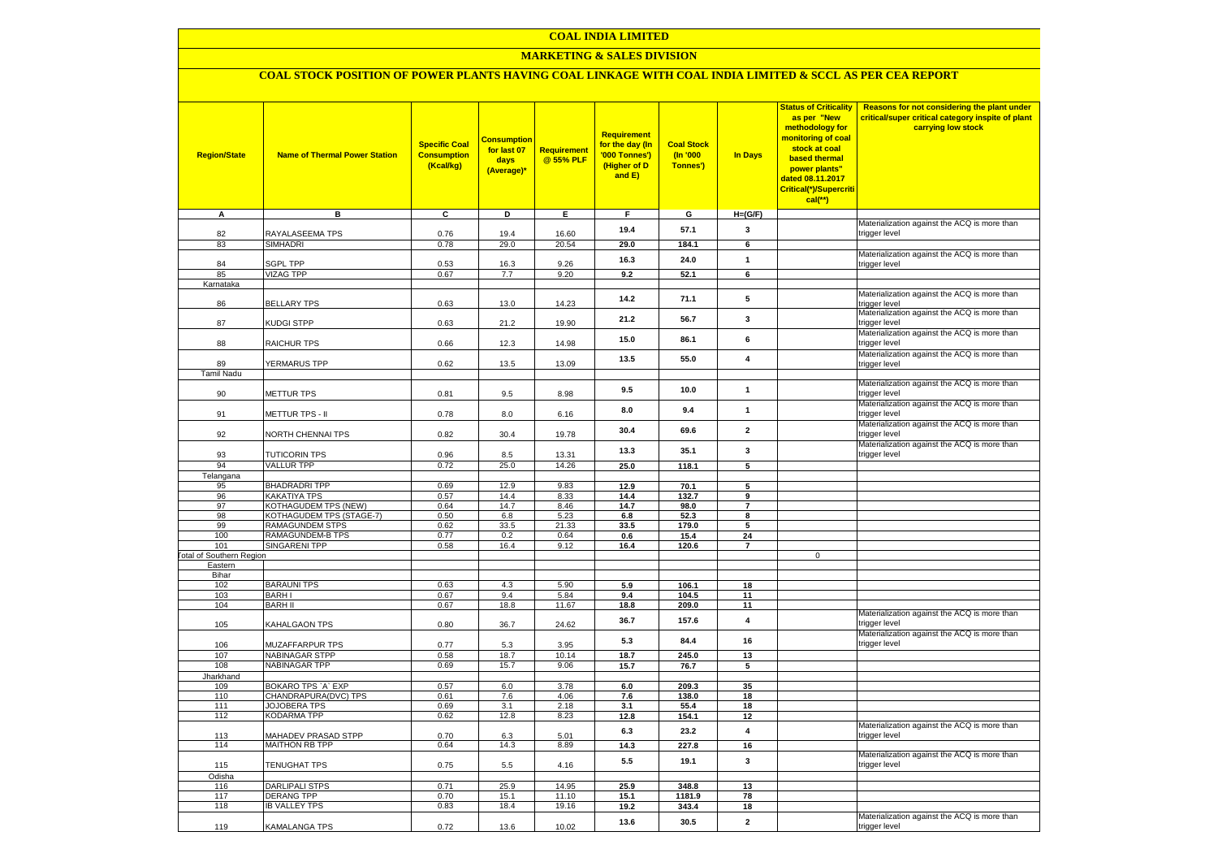### **MARKETING & SALES DIVISION**

# **COAL STOCK POSITION OF POWER PLANTS HAVING COAL LINKAGE WITH COAL INDIA LIMITED & SCCL AS PER CEA REPORT**

| <b>Region/State</b>             | <b>Name of Thermal Power Station</b>            | <b>Specific Coal</b><br><b>Consumption</b><br>(Kcal/kg) | <b>Consumption</b><br>for last 07<br>days<br>(Average)* | <b>Requirement</b><br>@ 55% PLF | Requirement<br>for the day (In<br>'000 Tonnes')<br>(Higher of D<br>and E) | <b>Coal Stock</b><br>(In '000<br>Tonnes') | In Days                 | <b>Status of Criticality</b><br>as per "New<br>methodology for<br>monitoring of coal<br>stock at coal<br>based thermal<br>power plants"<br>dated 08.11.2017<br>Critical(*)/Supercriti<br>$cal$ (**) | Reasons for not considering the plant under<br>critical/super critical category inspite of plant<br>carrying low stock |
|---------------------------------|-------------------------------------------------|---------------------------------------------------------|---------------------------------------------------------|---------------------------------|---------------------------------------------------------------------------|-------------------------------------------|-------------------------|-----------------------------------------------------------------------------------------------------------------------------------------------------------------------------------------------------|------------------------------------------------------------------------------------------------------------------------|
| Α                               | в                                               | c                                                       | Þ                                                       | Ε                               | F                                                                         | G                                         | $H=(G/F)$               |                                                                                                                                                                                                     | Materialization against the ACQ is more than                                                                           |
| 82                              | RAYALASEEMA TPS                                 | 0.76                                                    | 19.4                                                    | 16.60                           | 19.4                                                                      | 57.1                                      | $\mathbf{3}$            |                                                                                                                                                                                                     | trigger level                                                                                                          |
| 83                              | <b>SIMHADRI</b>                                 | 0.78                                                    | 29.0                                                    | 20.54                           | 29.0                                                                      | 184.1                                     | 6                       |                                                                                                                                                                                                     |                                                                                                                        |
| 84                              | <b>SGPL TPP</b>                                 | 0.53                                                    | 16.3                                                    | 9.26                            | 16.3                                                                      | 24.0                                      | $\mathbf{1}$            |                                                                                                                                                                                                     | Materialization against the ACQ is more than<br>trigger level                                                          |
| 85                              | <b>VIZAG TPP</b>                                | 0.67                                                    | 7.7                                                     | 9.20                            | 9.2                                                                       | 52.1                                      | 6                       |                                                                                                                                                                                                     |                                                                                                                        |
| Karnataka                       |                                                 |                                                         |                                                         |                                 | 14.2                                                                      | 71.1                                      | 5                       |                                                                                                                                                                                                     | Materialization against the ACQ is more than                                                                           |
| 86                              | <b>BELLARY TPS</b>                              | 0.63                                                    | 13.0                                                    | 14.23                           |                                                                           |                                           |                         |                                                                                                                                                                                                     | trigger level<br>Materialization against the ACQ is more than                                                          |
| 87                              | KUDGI STPP                                      | 0.63                                                    | 21.2                                                    | 19.90                           | 21.2                                                                      | 56.7                                      | 3                       |                                                                                                                                                                                                     | trigger level                                                                                                          |
| 88                              | RAICHUR TPS                                     | 0.66                                                    | 12.3                                                    | 14.98                           | 15.0                                                                      | 86.1                                      | 6                       |                                                                                                                                                                                                     | Materialization against the ACQ is more than<br>trigger level                                                          |
| 89                              | <b>YERMARUS TPP</b>                             | 0.62                                                    | 13.5                                                    | 13.09                           | 13.5                                                                      | 55.0                                      | $\overline{\mathbf{4}}$ |                                                                                                                                                                                                     | Materialization against the ACQ is more than<br>trigger level                                                          |
| <b>Tamil Nadu</b>               |                                                 |                                                         |                                                         |                                 |                                                                           |                                           |                         |                                                                                                                                                                                                     |                                                                                                                        |
| 90                              | <b>METTUR TPS</b>                               | 0.81                                                    | 9.5                                                     | 8.98                            | 9.5                                                                       | 10.0                                      | $\mathbf{1}$            |                                                                                                                                                                                                     | Materialization against the ACQ is more than<br>trigger level                                                          |
| 91                              | METTUR TPS - II                                 | 0.78                                                    | 8.0                                                     | 6.16                            | 8.0                                                                       | 9.4                                       | $\mathbf{1}$            |                                                                                                                                                                                                     | Materialization against the ACQ is more than<br>trigger level                                                          |
| 92                              | NORTH CHENNAI TPS                               | 0.82                                                    | 30.4                                                    | 19.78                           | 30.4                                                                      | 69.6                                      | $\mathbf{2}$            |                                                                                                                                                                                                     | Materialization against the ACQ is more than<br>trigger level                                                          |
|                                 |                                                 |                                                         |                                                         |                                 | 13.3                                                                      | 35.1                                      | 3                       |                                                                                                                                                                                                     | Materialization against the ACQ is more than                                                                           |
| 93<br>94                        | <b>TUTICORIN TPS</b><br><b>VALLUR TPP</b>       | 0.96<br>0.72                                            | 8.5<br>25.0                                             | 13.31<br>14.26                  | 25.0                                                                      | 118.1                                     | 5                       |                                                                                                                                                                                                     | trigger level                                                                                                          |
| Telangana                       |                                                 |                                                         |                                                         |                                 |                                                                           |                                           |                         |                                                                                                                                                                                                     |                                                                                                                        |
| 95                              | <b>BHADRADRI TPP</b>                            | 0.69                                                    | 12.9                                                    | 9.83                            | 12.9                                                                      | 70.1                                      | 5                       |                                                                                                                                                                                                     |                                                                                                                        |
| 96                              | KAKATIYA TPS                                    | 0.57                                                    | 14.4                                                    | 8.33                            | 14.4                                                                      | 132.7                                     | 9                       |                                                                                                                                                                                                     |                                                                                                                        |
| 97                              | KOTHAGUDEM TPS (NEW)                            | 0.64                                                    | 14.7                                                    | 8.46                            | 14.7                                                                      | 98.0                                      | $\overline{7}$          |                                                                                                                                                                                                     |                                                                                                                        |
| 98                              | KOTHAGUDEM TPS (STAGE-7)                        | 0.50                                                    | 6.8                                                     | 5.23                            | 6.8                                                                       | 52.3                                      | 8                       |                                                                                                                                                                                                     |                                                                                                                        |
| 99                              | <b>RAMAGUNDEM STPS</b>                          | 0.62                                                    | 33.5                                                    | 21.33                           | 33.5                                                                      | 179.0                                     | 5                       |                                                                                                                                                                                                     |                                                                                                                        |
| 100<br>101                      | <b>RAMAGUNDEM-B TPS</b><br><b>SINGARENI TPP</b> | 0.77<br>0.58                                            | 0.2<br>16.4                                             | 0.64<br>9.12                    | 0.6<br>16.4                                                               | 15.4<br>120.6                             | 24<br>$\overline{7}$    |                                                                                                                                                                                                     |                                                                                                                        |
| <b>Total of Southern Region</b> |                                                 |                                                         |                                                         |                                 |                                                                           |                                           |                         | $\mathbf 0$                                                                                                                                                                                         |                                                                                                                        |
| Eastern                         |                                                 |                                                         |                                                         |                                 |                                                                           |                                           |                         |                                                                                                                                                                                                     |                                                                                                                        |
| Bihar                           |                                                 |                                                         |                                                         |                                 |                                                                           |                                           |                         |                                                                                                                                                                                                     |                                                                                                                        |
| 102                             | <b>BARAUNI TPS</b>                              | 0.63                                                    | 4.3                                                     | 5.90                            | 5.9                                                                       | 106.1                                     | 18                      |                                                                                                                                                                                                     |                                                                                                                        |
| 103                             | <b>BARHI</b>                                    | 0.67                                                    | 9.4                                                     | 5.84                            | 9.4                                                                       | 104.5                                     | 11                      |                                                                                                                                                                                                     |                                                                                                                        |
| 104                             | <b>BARH II</b>                                  | 0.67                                                    | 18.8                                                    | 11.67                           | 18.8                                                                      | 209.0                                     | 11                      |                                                                                                                                                                                                     | Materialization against the ACQ is more than                                                                           |
| 105                             | KAHALGAON TPS                                   | 0.80                                                    | 36.7                                                    | 24.62                           | 36.7                                                                      | 157.6                                     | $\overline{\mathbf{4}}$ |                                                                                                                                                                                                     | trigger level                                                                                                          |
| 106                             | MUZAFFARPUR TPS                                 | 0.77                                                    | 5.3                                                     | 3.95                            | 5.3                                                                       | 84.4                                      | 16                      |                                                                                                                                                                                                     | Materialization against the ACQ is more than<br>trigger level                                                          |
| 107                             | <b>NABINAGAR STPP</b>                           | 0.58                                                    | 18.7                                                    | 10.14                           | 18.7                                                                      | 245.0                                     | 13                      |                                                                                                                                                                                                     |                                                                                                                        |
| 108                             | <b>NABINAGAR TPP</b>                            | 0.69                                                    | 15.7                                                    | 9.06                            | 15.7                                                                      | 76.7                                      | 5                       |                                                                                                                                                                                                     |                                                                                                                        |
| Jharkhand                       |                                                 |                                                         |                                                         |                                 |                                                                           |                                           |                         |                                                                                                                                                                                                     |                                                                                                                        |
| 109                             | BOKARO TPS `A` EXP                              | 0.57                                                    | 6.0                                                     | 3.78                            | 6.0                                                                       | 209.3                                     | 35                      |                                                                                                                                                                                                     |                                                                                                                        |
| 110<br>111                      | CHANDRAPURA(DVC) TPS<br>JOJOBERA TPS            | 0.61<br>0.69                                            | 7.6<br>3.1                                              | 4.06<br>2.18                    | 7.6<br>3.1                                                                | 138.0                                     | 18<br>18                |                                                                                                                                                                                                     |                                                                                                                        |
| 112                             | KODARMA TPP                                     | 0.62                                                    | 12.8                                                    | 8.23                            | 12.8                                                                      | 55.4<br>154.1                             | 12                      |                                                                                                                                                                                                     |                                                                                                                        |
| 113                             | <b>MAHADEV PRASAD STPP</b>                      | 0.70                                                    | 6.3                                                     | 5.01                            | 6.3                                                                       | 23.2                                      | $\overline{\mathbf{4}}$ |                                                                                                                                                                                                     | Materialization against the ACQ is more than<br>trigger level                                                          |
| 114                             | <b>MAITHON RB TPP</b>                           | 0.64                                                    | 14.3                                                    | 8.89                            | 14.3                                                                      | 227.8                                     | 16                      |                                                                                                                                                                                                     |                                                                                                                        |
| 115                             | TENUGHAT TPS                                    | 0.75                                                    | 5.5                                                     | 4.16                            | 5.5                                                                       | 19.1                                      | $\mathbf{3}$            |                                                                                                                                                                                                     | Materialization against the ACQ is more than<br>trigger level                                                          |
| Odisha                          |                                                 |                                                         |                                                         |                                 |                                                                           |                                           |                         |                                                                                                                                                                                                     |                                                                                                                        |
| 116                             | <b>DARLIPALI STPS</b>                           | 0.71                                                    | 25.9                                                    | 14.95                           | 25.9                                                                      | 348.8                                     | 13                      |                                                                                                                                                                                                     |                                                                                                                        |
| 117                             | <b>DERANG TPP</b>                               | 0.70                                                    | 15.1                                                    | 11.10                           | 15.1                                                                      | 1181.9                                    | 78                      |                                                                                                                                                                                                     |                                                                                                                        |
| 118                             | <b>IB VALLEY TPS</b>                            | 0.83                                                    | 18.4                                                    | 19.16                           | 19.2                                                                      | 343.4                                     | 18                      |                                                                                                                                                                                                     |                                                                                                                        |
| 119                             | KAMALANGA TPS                                   | 0.72                                                    | 13.6                                                    | 10.02                           | 13.6                                                                      | 30.5                                      | $\overline{\mathbf{2}}$ |                                                                                                                                                                                                     | Materialization against the ACQ is more than<br>trigger level                                                          |